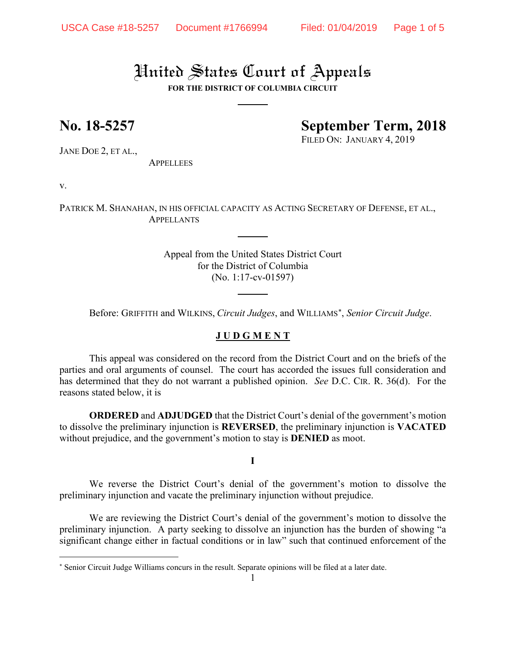# United States Court of Appeals

**FOR THE DISTRICT OF COLUMBIA CIRCUIT**

## **No. 18-5257 September Term, 2018**

FILED ON: JANUARY 4, 2019

JANE DOE 2, ET AL.,

**APPELLEES** 

v.

 $\overline{a}$ 

PATRICK M. SHANAHAN, IN HIS OFFICIAL CAPACITY AS ACTING SECRETARY OF DEFENSE, ET AL., APPELLANTS

> Appeal from the United States District Court for the District of Columbia (No. 1:17-cv-01597)

Before: GRIFFITH and WILKINS, *Circuit Judges*, and WILLIAMS[∗](#page-0-0), *Senior Circuit Judge*.

#### **J U D G M E N T**

This appeal was considered on the record from the District Court and on the briefs of the parties and oral arguments of counsel. The court has accorded the issues full consideration and has determined that they do not warrant a published opinion. *See* D.C. CIR. R. 36(d). For the reasons stated below, it is

**ORDERED** and **ADJUDGED** that the District Court's denial of the government's motion to dissolve the preliminary injunction is **REVERSED**, the preliminary injunction is **VACATED** without prejudice, and the government's motion to stay is **DENIED** as moot.

**I**

We reverse the District Court's denial of the government's motion to dissolve the preliminary injunction and vacate the preliminary injunction without prejudice.

We are reviewing the District Court's denial of the government's motion to dissolve the preliminary injunction. A party seeking to dissolve an injunction has the burden of showing "a significant change either in factual conditions or in law" such that continued enforcement of the

<span id="page-0-0"></span><sup>∗</sup> Senior Circuit Judge Williams concurs in the result. Separate opinions will be filed at a later date.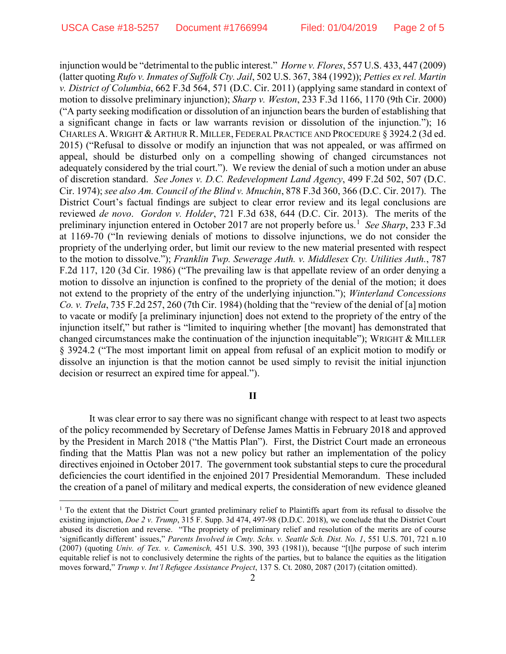injunction would be "detrimental to the public interest." *Horne v. Flores*, 557 U.S. 433, 447 (2009) (latter quoting *Rufo v. Inmates of Suffolk Cty. Jail*, 502 U.S. 367, 384 (1992)); *Petties ex rel. Martin v. District of Columbia*, 662 F.3d 564, 571 (D.C. Cir. 2011) (applying same standard in context of motion to dissolve preliminary injunction); *Sharp v. Weston*, 233 F.3d 1166, 1170 (9th Cir. 2000) ("A party seeking modification or dissolution of an injunction bears the burden of establishing that a significant change in facts or law warrants revision or dissolution of the injunction."); 16 CHARLES A. WRIGHT & ARTHUR R. MILLER, FEDERAL PRACTICE AND PROCEDURE § 3924.2 (3d ed. 2015) ("Refusal to dissolve or modify an injunction that was not appealed, or was affirmed on appeal, should be disturbed only on a compelling showing of changed circumstances not adequately considered by the trial court."). We review the denial of such a motion under an abuse of discretion standard. *See Jones v. D.C. Redevelopment Land Agency*, 499 F.2d 502, 507 (D.C. Cir. 1974); *see also Am. Council of the Blind v. Mnuchin*, 878 F.3d 360, 366 (D.C. Cir. 2017). The District Court's factual findings are subject to clear error review and its legal conclusions are reviewed *de novo*. *Gordon v. Holder*, 721 F.3d 638, 644 (D.C. Cir. 2013). The merits of the preliminary injunction entered in October 20[1](#page-1-0)7 are not properly before us.<sup>1</sup> *See Sharp*, 233 F.3d at 1169-70 ("In reviewing denials of motions to dissolve injunctions, we do not consider the propriety of the underlying order, but limit our review to the new material presented with respect to the motion to dissolve."); *Franklin Twp. Sewerage Auth. v. Middlesex Cty. Utilities Auth.*, 787 F.2d 117, 120 (3d Cir. 1986) ("The prevailing law is that appellate review of an order denying a motion to dissolve an injunction is confined to the propriety of the denial of the motion; it does not extend to the propriety of the entry of the underlying injunction."); *Winterland Concessions Co. v. Trela*, 735 F.2d 257, 260 (7th Cir. 1984) (holding that the "review of the denial of [a] motion to vacate or modify [a preliminary injunction] does not extend to the propriety of the entry of the injunction itself," but rather is "limited to inquiring whether [the movant] has demonstrated that changed circumstances make the continuation of the injunction inequitable"); WRIGHT & MILLER § 3924.2 ("The most important limit on appeal from refusal of an explicit motion to modify or dissolve an injunction is that the motion cannot be used simply to revisit the initial injunction decision or resurrect an expired time for appeal.").

#### **II**

It was clear error to say there was no significant change with respect to at least two aspects of the policy recommended by Secretary of Defense James Mattis in February 2018 and approved by the President in March 2018 ("the Mattis Plan"). First, the District Court made an erroneous finding that the Mattis Plan was not a new policy but rather an implementation of the policy directives enjoined in October 2017. The government took substantial steps to cure the procedural deficiencies the court identified in the enjoined 2017 Presidential Memorandum. These included the creation of a panel of military and medical experts, the consideration of new evidence gleaned

<span id="page-1-0"></span> $<sup>1</sup>$  To the extent that the District Court granted preliminary relief to Plaintiffs apart from its refusal to dissolve the</sup> existing injunction, *Doe 2 v. Trump*, 315 F. Supp. 3d 474, 497-98 (D.D.C. 2018), we conclude that the District Court abused its discretion and reverse. "The propriety of preliminary relief and resolution of the merits are of course 'significantly different' issues," *Parents Involved in Cmty. Schs. v. Seattle Sch. Dist. No. 1*, 551 U.S. 701, 721 n.10 (2007) (quoting *Univ. of Tex. v. Camenisch,* 451 U.S. 390, 393 (1981)), because "[t]he purpose of such interim equitable relief is not to conclusively determine the rights of the parties, but to balance the equities as the litigation moves forward," *Trump v. Int'l Refugee Assistance Project*, 137 S. Ct. 2080, 2087 (2017) (citation omitted).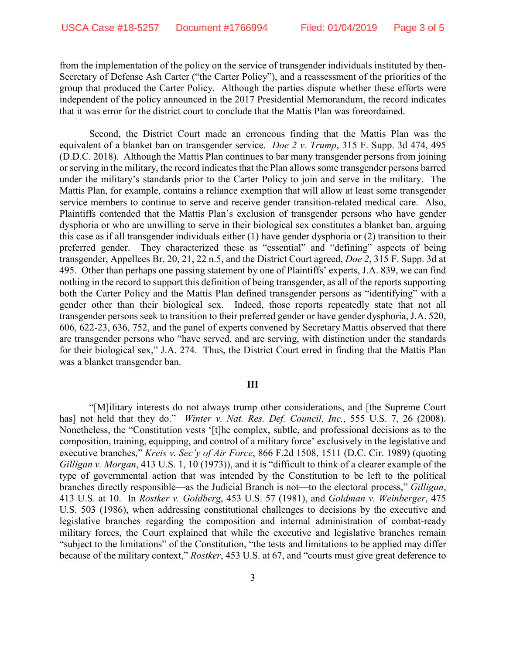from the implementation of the policy on the service of transgender individuals instituted by then-Secretary of Defense Ash Carter ("the Carter Policy"), and a reassessment of the priorities of the group that produced the Carter Policy. Although the parties dispute whether these efforts were independent of the policy announced in the 2017 Presidential Memorandum, the record indicates that it was error for the district court to conclude that the Mattis Plan was foreordained.

Second, the District Court made an erroneous finding that the Mattis Plan was the equivalent of a blanket ban on transgender service. *Doe 2 v. Trump*, 315 F. Supp. 3d 474, 495 (D.D.C. 2018). Although the Mattis Plan continues to bar many transgender persons from joining or serving in the military, the record indicates that the Plan allows some transgender persons barred under the military's standards prior to the Carter Policy to join and serve in the military. The Mattis Plan, for example, contains a reliance exemption that will allow at least some transgender service members to continue to serve and receive gender transition-related medical care. Also, Plaintiffs contended that the Mattis Plan's exclusion of transgender persons who have gender dysphoria or who are unwilling to serve in their biological sex constitutes a blanket ban, arguing this case as if all transgender individuals either (1) have gender dysphoria or (2) transition to their preferred gender. They characterized these as "essential" and "defining" aspects of being transgender, Appellees Br. 20, 21, 22 n.5, and the District Court agreed, *Doe 2*, 315 F. Supp. 3d at 495. Other than perhaps one passing statement by one of Plaintiffs' experts, J.A. 839, we can find nothing in the record to support this definition of being transgender, as all of the reports supporting both the Carter Policy and the Mattis Plan defined transgender persons as "identifying" with a gender other than their biological sex. Indeed, those reports repeatedly state that not all transgender persons seek to transition to their preferred gender or have gender dysphoria, J.A. 520, 606, 622-23, 636, 752, and the panel of experts convened by Secretary Mattis observed that there are transgender persons who "have served, and are serving, with distinction under the standards for their biological sex," J.A. 274. Thus, the District Court erred in finding that the Mattis Plan was a blanket transgender ban.

#### **III**

"[M]ilitary interests do not always trump other considerations, and [the Supreme Court has] not held that they do." *Winter v. Nat. Res. Def. Council, Inc.*, 555 U.S. 7, 26 (2008). Nonetheless, the "Constitution vests '[t]he complex, subtle, and professional decisions as to the composition, training, equipping, and control of a military force' exclusively in the legislative and executive branches," *Kreis v. Sec'y of Air Force*, 866 F.2d 1508, 1511 (D.C. Cir. 1989) (quoting *Gilligan v. Morgan*, 413 U.S. 1, 10 (1973)), and it is "difficult to think of a clearer example of the type of governmental action that was intended by the Constitution to be left to the political branches directly responsible—as the Judicial Branch is not—to the electoral process," *Gilligan*, 413 U.S. at 10. In *Rostker v. Goldberg*, 453 U.S. 57 (1981), and *Goldman v. Weinberger*, 475 U.S. 503 (1986), when addressing constitutional challenges to decisions by the executive and legislative branches regarding the composition and internal administration of combat-ready military forces, the Court explained that while the executive and legislative branches remain "subject to the limitations" of the Constitution, "the tests and limitations to be applied may differ because of the military context," *Rostker*, 453 U.S. at 67, and "courts must give great deference to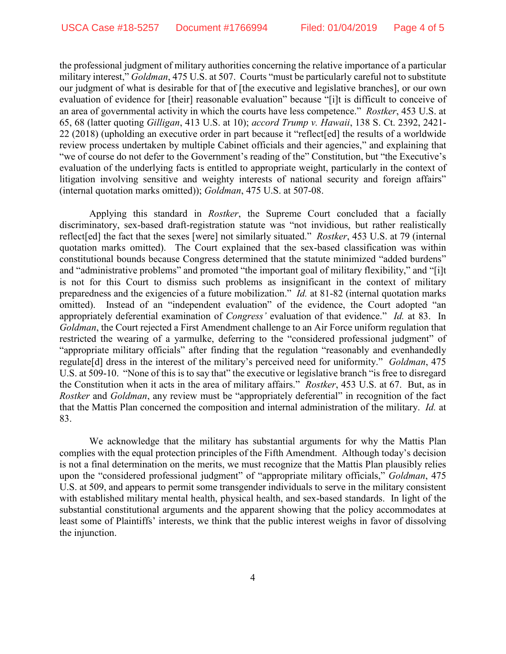the professional judgment of military authorities concerning the relative importance of a particular military interest," *Goldman*, 475 U.S. at 507. Courts "must be particularly careful not to substitute our judgment of what is desirable for that of [the executive and legislative branches], or our own evaluation of evidence for [their] reasonable evaluation" because "[i]t is difficult to conceive of an area of governmental activity in which the courts have less competence." *Rostker*, 453 U.S. at 65, 68 (latter quoting *Gilligan*, 413 U.S. at 10); *accord Trump v. Hawaii*, 138 S. Ct. 2392, 2421- 22 (2018) (upholding an executive order in part because it "reflect[ed] the results of a worldwide review process undertaken by multiple Cabinet officials and their agencies," and explaining that "we of course do not defer to the Government's reading of the" Constitution, but "the Executive's evaluation of the underlying facts is entitled to appropriate weight, particularly in the context of litigation involving sensitive and weighty interests of national security and foreign affairs" (internal quotation marks omitted)); *Goldman*, 475 U.S. at 507-08.

Applying this standard in *Rostker*, the Supreme Court concluded that a facially discriminatory, sex-based draft-registration statute was "not invidious, but rather realistically reflect[ed] the fact that the sexes [were] not similarly situated." *Rostker*, 453 U.S. at 79 (internal quotation marks omitted). The Court explained that the sex-based classification was within constitutional bounds because Congress determined that the statute minimized "added burdens" and "administrative problems" and promoted "the important goal of military flexibility," and "[i]t is not for this Court to dismiss such problems as insignificant in the context of military preparedness and the exigencies of a future mobilization." *Id.* at 81-82 (internal quotation marks omitted). Instead of an "independent evaluation" of the evidence, the Court adopted "an appropriately deferential examination of *Congress'* evaluation of that evidence." *Id.* at 83. In *Goldman*, the Court rejected a First Amendment challenge to an Air Force uniform regulation that restricted the wearing of a yarmulke, deferring to the "considered professional judgment" of "appropriate military officials" after finding that the regulation "reasonably and evenhandedly regulate[d] dress in the interest of the military's perceived need for uniformity." *Goldman*, 475 U.S. at 509-10. "None of this is to say that" the executive or legislative branch "is free to disregard the Constitution when it acts in the area of military affairs." *Rostker*, 453 U.S. at 67. But, as in *Rostker* and *Goldman*, any review must be "appropriately deferential" in recognition of the fact that the Mattis Plan concerned the composition and internal administration of the military. *Id.* at 83.

We acknowledge that the military has substantial arguments for why the Mattis Plan complies with the equal protection principles of the Fifth Amendment. Although today's decision is not a final determination on the merits, we must recognize that the Mattis Plan plausibly relies upon the "considered professional judgment" of "appropriate military officials," *Goldman*, 475 U.S. at 509, and appears to permit some transgender individuals to serve in the military consistent with established military mental health, physical health, and sex-based standards. In light of the substantial constitutional arguments and the apparent showing that the policy accommodates at least some of Plaintiffs' interests, we think that the public interest weighs in favor of dissolving the injunction.